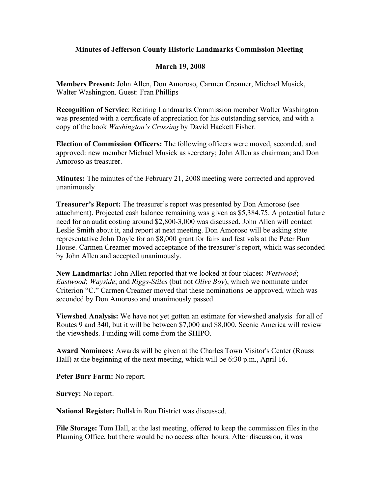## **Minutes of Jefferson County Historic Landmarks Commission Meeting**

## **March 19, 2008**

**Members Present:** John Allen, Don Amoroso, Carmen Creamer, Michael Musick, Walter Washington. Guest: Fran Phillips

**Recognition of Service**: Retiring Landmarks Commission member Walter Washington was presented with a certificate of appreciation for his outstanding service, and with a copy of the book *Washington's Crossing* by David Hackett Fisher.

**Election of Commission Officers:** The following officers were moved, seconded, and approved: new member Michael Musick as secretary; John Allen as chairman; and Don Amoroso as treasurer.

**Minutes:** The minutes of the February 21, 2008 meeting were corrected and approved unanimously

**Treasurer's Report:** The treasurer's report was presented by Don Amoroso (see attachment). Projected cash balance remaining was given as \$5,384.75. A potential future need for an audit costing around \$2,800-3,000 was discussed. John Allen will contact Leslie Smith about it, and report at next meeting. Don Amoroso will be asking state representative John Doyle for an \$8,000 grant for fairs and festivals at the Peter Burr House. Carmen Creamer moved acceptance of the treasurer's report, which was seconded by John Allen and accepted unanimously.

**New Landmarks:** John Allen reported that we looked at four places: *Westwood*; *Eastwood*; *Wayside*; and *Riggs-Stiles* (but not *Olive Boy*), which we nominate under Criterion "C." Carmen Creamer moved that these nominations be approved, which was seconded by Don Amoroso and unanimously passed.

**Viewshed Analysis:** We have not yet gotten an estimate for viewshed analysis for all of Routes 9 and 340, but it will be between \$7,000 and \$8,000. Scenic America will review the viewsheds. Funding will come from the SHIPO.

**Award Nominees:** Awards will be given at the Charles Town Visitor's Center (Rouss Hall) at the beginning of the next meeting, which will be 6:30 p.m., April 16.

**Peter Burr Farm:** No report.

**Survey:** No report.

**National Register:** Bullskin Run District was discussed.

**File Storage:** Tom Hall, at the last meeting, offered to keep the commission files in the Planning Office, but there would be no access after hours. After discussion, it was